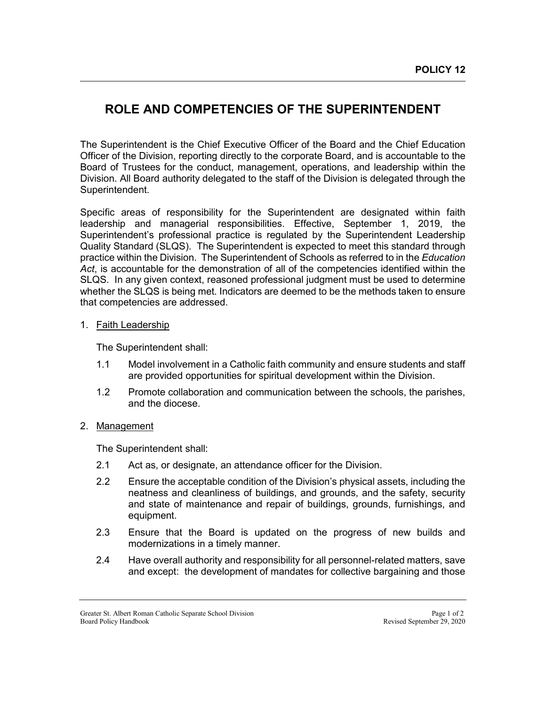## **ROLE AND COMPETENCIES OF THE SUPERINTENDENT**

The Superintendent is the Chief Executive Officer of the Board and the Chief Education Officer of the Division, reporting directly to the corporate Board, and is accountable to the Board of Trustees for the conduct, management, operations, and leadership within the Division. All Board authority delegated to the staff of the Division is delegated through the Superintendent.

Specific areas of responsibility for the Superintendent are designated within faith leadership and managerial responsibilities. Effective, September 1, 2019, the Superintendent's professional practice is regulated by the Superintendent Leadership Quality Standard (SLQS). The Superintendent is expected to meet this standard through practice within the Division. The Superintendent of Schools as referred to in the *Education Act*, is accountable for the demonstration of all of the competencies identified within the SLQS. In any given context, reasoned professional judgment must be used to determine whether the SLQS is being met. Indicators are deemed to be the methods taken to ensure that competencies are addressed.

## 1. Faith Leadership

The Superintendent shall:

- 1.1 Model involvement in a Catholic faith community and ensure students and staff are provided opportunities for spiritual development within the Division.
- 1.2 Promote collaboration and communication between the schools, the parishes, and the diocese.

## 2. Management

The Superintendent shall:

- 2.1 Act as, or designate, an attendance officer for the Division.
- 2.2 Ensure the acceptable condition of the Division's physical assets, including the neatness and cleanliness of buildings, and grounds, and the safety, security and state of maintenance and repair of buildings, grounds, furnishings, and equipment.
- 2.3 Ensure that the Board is updated on the progress of new builds and modernizations in a timely manner.
- 2.4 Have overall authority and responsibility for all personnel-related matters, save and except: the development of mandates for collective bargaining and those

Greater St. Albert Roman Catholic Separate School Division Page 1 of 2<br>Board Policy Handbook Page 1 of 2